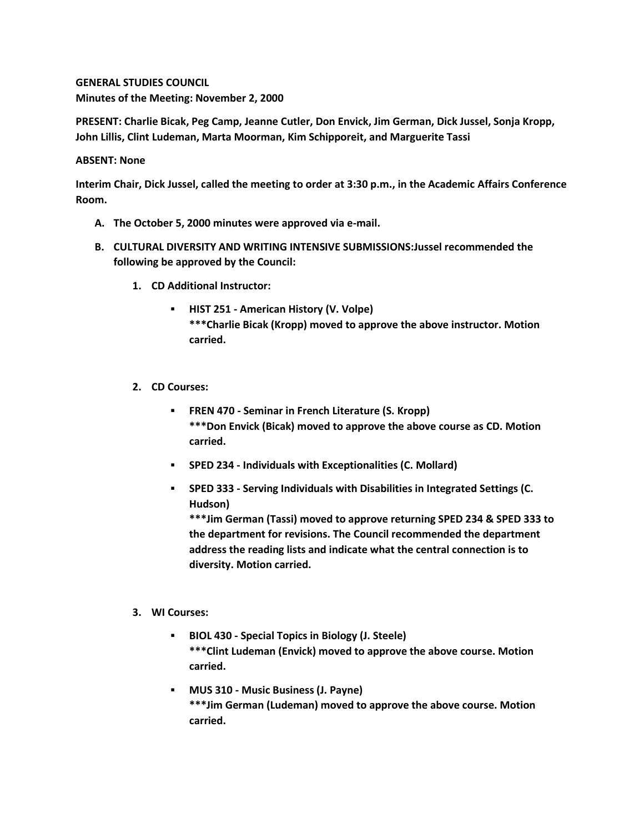**GENERAL STUDIES COUNCIL Minutes of the Meeting: November 2, 2000**

**PRESENT: Charlie Bicak, Peg Camp, Jeanne Cutler, Don Envick, Jim German, Dick Jussel, Sonja Kropp, John Lillis, Clint Ludeman, Marta Moorman, Kim Schipporeit, and Marguerite Tassi**

## **ABSENT: None**

**Interim Chair, Dick Jussel, called the meeting to order at 3:30 p.m., in the Academic Affairs Conference Room.**

- **A. The October 5, 2000 minutes were approved via e-mail.**
- **B. CULTURAL DIVERSITY AND WRITING INTENSIVE SUBMISSIONS:Jussel recommended the following be approved by the Council:** 
	- **1. CD Additional Instructor:** 
		- **HIST 251 - American History (V. Volpe) \*\*\*Charlie Bicak (Kropp) moved to approve the above instructor. Motion carried.**
	- **2. CD Courses:** 
		- **FREN 470 - Seminar in French Literature (S. Kropp) \*\*\*Don Envick (Bicak) moved to approve the above course as CD. Motion carried.**
		- **SPED 234 - Individuals with Exceptionalities (C. Mollard)**
		- **SPED 333 - Serving Individuals with Disabilities in Integrated Settings (C. Hudson)**

**\*\*\*Jim German (Tassi) moved to approve returning SPED 234 & SPED 333 to the department for revisions. The Council recommended the department address the reading lists and indicate what the central connection is to diversity. Motion carried.**

## **3. WI Courses:**

- **BIOL 430 - Special Topics in Biology (J. Steele) \*\*\*Clint Ludeman (Envick) moved to approve the above course. Motion carried.**
- **MUS 310 - Music Business (J. Payne) \*\*\*Jim German (Ludeman) moved to approve the above course. Motion carried.**